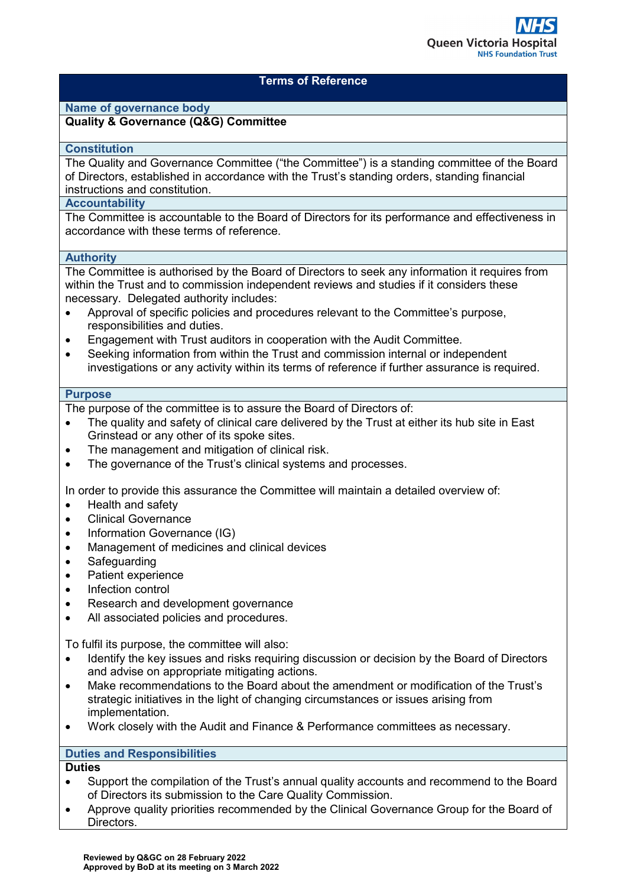

### **Terms of Reference**

# **Name of governance body**

#### **Quality & Governance (Q&G) Committee**

#### **Constitution**

The Quality and Governance Committee ("the Committee") is a standing committee of the Board of Directors, established in accordance with the Trust's standing orders, standing financial instructions and constitution.

## **Accountability**

The Committee is accountable to the Board of Directors for its performance and effectiveness in accordance with these terms of reference.

#### **Authority**

The Committee is authorised by the Board of Directors to seek any information it requires from within the Trust and to commission independent reviews and studies if it considers these necessary. Delegated authority includes:

- Approval of specific policies and procedures relevant to the Committee's purpose, responsibilities and duties.
- Engagement with Trust auditors in cooperation with the Audit Committee.
- Seeking information from within the Trust and commission internal or independent investigations or any activity within its terms of reference if further assurance is required.

#### **Purpose**

The purpose of the committee is to assure the Board of Directors of:

- The quality and safety of clinical care delivered by the Trust at either its hub site in East Grinstead or any other of its spoke sites.
- The management and mitigation of clinical risk.
- The governance of the Trust's clinical systems and processes.

In order to provide this assurance the Committee will maintain a detailed overview of:

- Health and safety
- Clinical Governance
- Information Governance (IG)
- Management of medicines and clinical devices
- Safeguarding
- Patient experience
- Infection control
- Research and development governance
- All associated policies and procedures.

To fulfil its purpose, the committee will also:

- Identify the key issues and risks requiring discussion or decision by the Board of Directors and advise on appropriate mitigating actions.
- Make recommendations to the Board about the amendment or modification of the Trust's strategic initiatives in the light of changing circumstances or issues arising from implementation.
- Work closely with the Audit and Finance & Performance committees as necessary.

#### **Duties and Responsibilities**

# **Duties**

- Support the compilation of the Trust's annual quality accounts and recommend to the Board of Directors its submission to the Care Quality Commission.
- Approve quality priorities recommended by the Clinical Governance Group for the Board of Directors.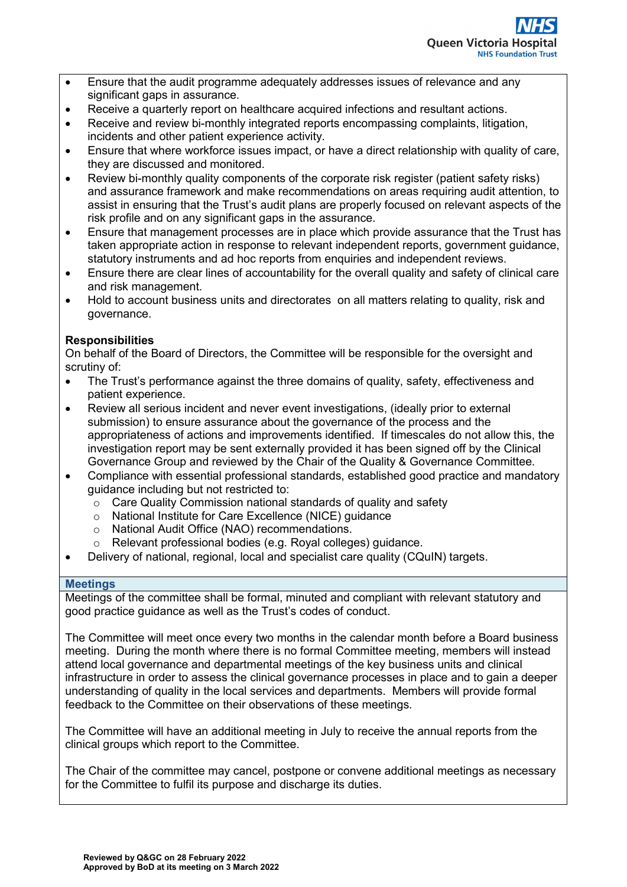- Ensure that the audit programme adequately addresses issues of relevance and any significant gaps in assurance.
- Receive a quarterly report on healthcare acquired infections and resultant actions.
- Receive and review bi-monthly integrated reports encompassing complaints, litigation, incidents and other patient experience activity.
- Ensure that where workforce issues impact, or have a direct relationship with quality of care, they are discussed and monitored.
- Review bi-monthly quality components of the corporate risk register (patient safety risks) and assurance framework and make recommendations on areas requiring audit attention, to assist in ensuring that the Trust's audit plans are properly focused on relevant aspects of the risk profile and on any significant gaps in the assurance.
- Ensure that management processes are in place which provide assurance that the Trust has taken appropriate action in response to relevant independent reports, government guidance, statutory instruments and ad hoc reports from enquiries and independent reviews.
- Ensure there are clear lines of accountability for the overall quality and safety of clinical care and risk management.
- Hold to account business units and directorates on all matters relating to quality, risk and governance.

# **Responsibilities**

On behalf of the Board of Directors, the Committee will be responsible for the oversight and scrutiny of:

- The Trust's performance against the three domains of quality, safety, effectiveness and patient experience.
- Review all serious incident and never event investigations, (ideally prior to external submission) to ensure assurance about the governance of the process and the appropriateness of actions and improvements identified. If timescales do not allow this, the investigation report may be sent externally provided it has been signed off by the Clinical Governance Group and reviewed by the Chair of the Quality & Governance Committee.
- Compliance with essential professional standards, established good practice and mandatory guidance including but not restricted to:
	- $\circ$  Care Quality Commission national standards of quality and safety
	- o National Institute for Care Excellence (NICE) guidance
	- o National Audit Office (NAO) recommendations.
	- o Relevant professional bodies (e.g. Royal colleges) guidance.
- Delivery of national, regional, local and specialist care quality (CQuIN) targets.

#### **Meetings**

Meetings of the committee shall be formal, minuted and compliant with relevant statutory and good practice guidance as well as the Trust's codes of conduct.

The Committee will meet once every two months in the calendar month before a Board business meeting. During the month where there is no formal Committee meeting, members will instead attend local governance and departmental meetings of the key business units and clinical infrastructure in order to assess the clinical governance processes in place and to gain a deeper understanding of quality in the local services and departments. Members will provide formal feedback to the Committee on their observations of these meetings.

The Committee will have an additional meeting in July to receive the annual reports from the clinical groups which report to the Committee.

The Chair of the committee may cancel, postpone or convene additional meetings as necessary for the Committee to fulfil its purpose and discharge its duties.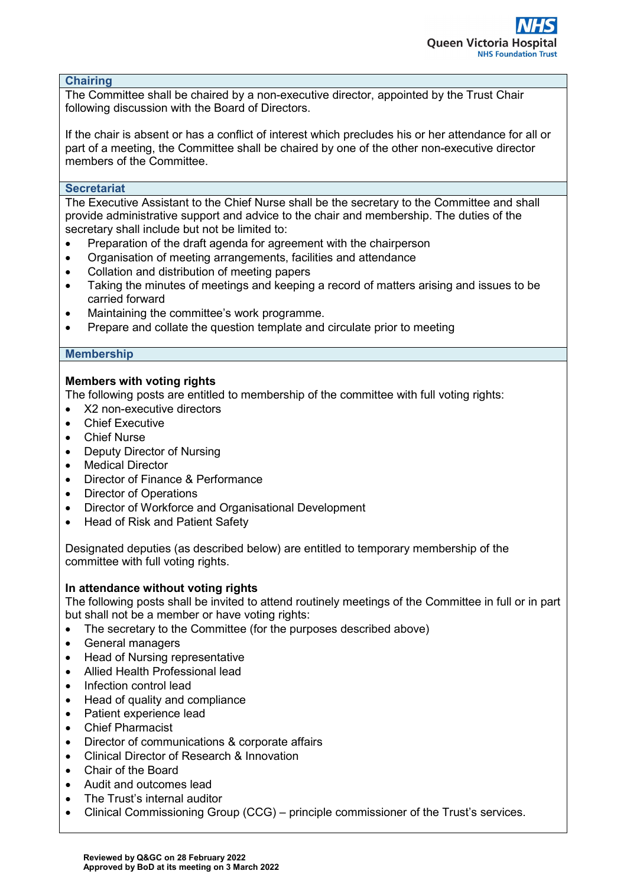#### **Chairing**

The Committee shall be chaired by a non-executive director, appointed by the Trust Chair following discussion with the Board of Directors.

If the chair is absent or has a conflict of interest which precludes his or her attendance for all or part of a meeting, the Committee shall be chaired by one of the other non-executive director members of the Committee.

### **Secretariat**

The Executive Assistant to the Chief Nurse shall be the secretary to the Committee and shall provide administrative support and advice to the chair and membership. The duties of the secretary shall include but not be limited to:

- Preparation of the draft agenda for agreement with the chairperson
- Organisation of meeting arrangements, facilities and attendance
- Collation and distribution of meeting papers
- Taking the minutes of meetings and keeping a record of matters arising and issues to be carried forward
- Maintaining the committee's work programme.
- Prepare and collate the question template and circulate prior to meeting

## **Membership**

# **Members with voting rights**

The following posts are entitled to membership of the committee with full voting rights:

- X2 non-executive directors
- Chief Executive
- **Chief Nurse**
- Deputy Director of Nursing
- Medical Director
- Director of Finance & Performance
- Director of Operations
- Director of Workforce and Organisational Development
- Head of Risk and Patient Safety

Designated deputies (as described below) are entitled to temporary membership of the committee with full voting rights.

## **In attendance without voting rights**

The following posts shall be invited to attend routinely meetings of the Committee in full or in part but shall not be a member or have voting rights:

- The secretary to the Committee (for the purposes described above)
- General managers
- Head of Nursing representative
- Allied Health Professional lead
- Infection control lead
- Head of quality and compliance
- Patient experience lead
- Chief Pharmacist
- Director of communications & corporate affairs
- Clinical Director of Research & Innovation
- Chair of the Board
- Audit and outcomes lead
- The Trust's internal auditor
- Clinical Commissioning Group (CCG) principle commissioner of the Trust's services.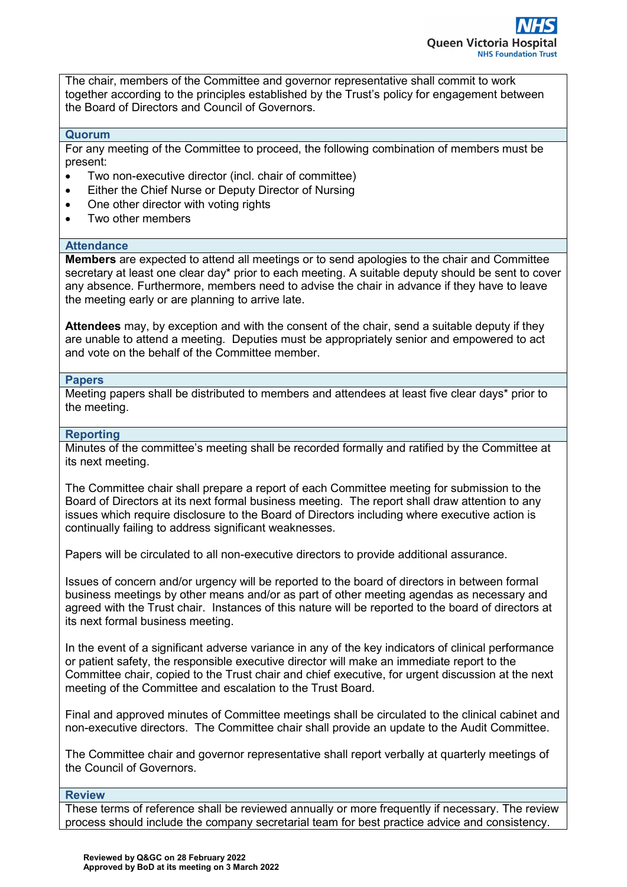The chair, members of the Committee and governor representative shall commit to work together according to the principles established by the Trust's policy for engagement between the Board of Directors and Council of Governors.

#### **Quorum**

For any meeting of the Committee to proceed, the following combination of members must be present:

- Two non-executive director (incl. chair of committee)
- Either the Chief Nurse or Deputy Director of Nursing
- One other director with voting rights
- Two other members

#### **Attendance**

**Members** are expected to attend all meetings or to send apologies to the chair and Committee secretary at least one clear day\* prior to each meeting. A suitable deputy should be sent to cover any absence. Furthermore, members need to advise the chair in advance if they have to leave the meeting early or are planning to arrive late.

**Attendees** may, by exception and with the consent of the chair, send a suitable deputy if they are unable to attend a meeting. Deputies must be appropriately senior and empowered to act and vote on the behalf of the Committee member.

#### **Papers**

Meeting papers shall be distributed to members and attendees at least five clear days\* prior to the meeting.

#### **Reporting**

Minutes of the committee's meeting shall be recorded formally and ratified by the Committee at its next meeting.

The Committee chair shall prepare a report of each Committee meeting for submission to the Board of Directors at its next formal business meeting. The report shall draw attention to any issues which require disclosure to the Board of Directors including where executive action is continually failing to address significant weaknesses.

Papers will be circulated to all non-executive directors to provide additional assurance.

Issues of concern and/or urgency will be reported to the board of directors in between formal business meetings by other means and/or as part of other meeting agendas as necessary and agreed with the Trust chair. Instances of this nature will be reported to the board of directors at its next formal business meeting.

In the event of a significant adverse variance in any of the key indicators of clinical performance or patient safety, the responsible executive director will make an immediate report to the Committee chair, copied to the Trust chair and chief executive, for urgent discussion at the next meeting of the Committee and escalation to the Trust Board.

Final and approved minutes of Committee meetings shall be circulated to the clinical cabinet and non-executive directors. The Committee chair shall provide an update to the Audit Committee.

The Committee chair and governor representative shall report verbally at quarterly meetings of the Council of Governors.

#### **Review**

These terms of reference shall be reviewed annually or more frequently if necessary. The review process should include the company secretarial team for best practice advice and consistency.